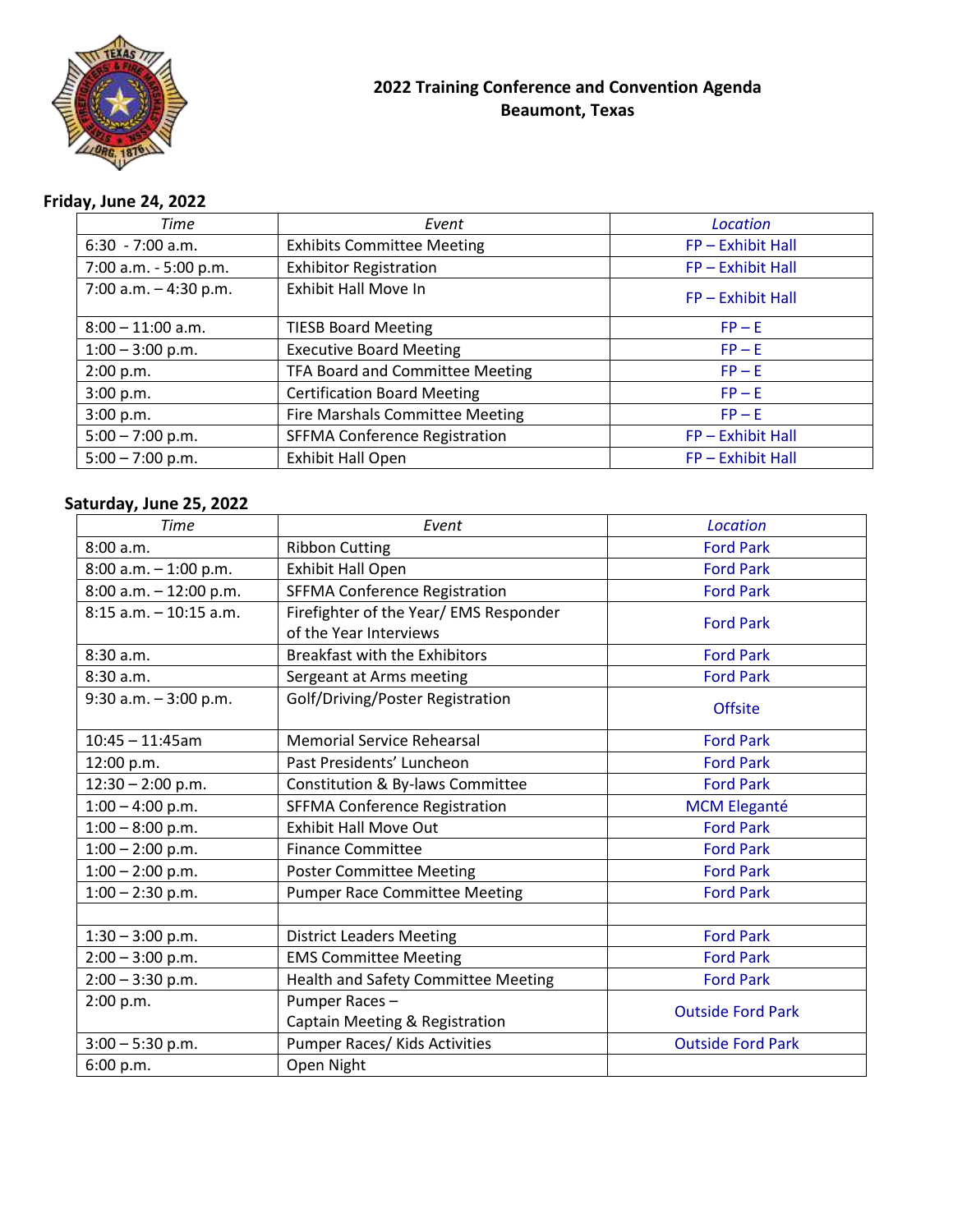

## **2022 Training Conference and Convention Agenda Beaumont, Texas**

# **Friday, June 24, 2022**

| Time                    | Event                                  | Location          |
|-------------------------|----------------------------------------|-------------------|
| $6:30 - 7:00$ a.m.      | <b>Exhibits Committee Meeting</b>      | FP - Exhibit Hall |
| 7:00 a.m. - 5:00 p.m.   | <b>Exhibitor Registration</b>          | FP-Exhibit Hall   |
| 7:00 a.m. $-$ 4:30 p.m. | <b>Exhibit Hall Move In</b>            | FP - Exhibit Hall |
| $8:00 - 11:00$ a.m.     | <b>TIESB Board Meeting</b>             | $FP - E$          |
| $1:00 - 3:00$ p.m.      | <b>Executive Board Meeting</b>         | $FP - E$          |
| 2:00 p.m.               | TFA Board and Committee Meeting        | $FP - E$          |
| 3:00 p.m.               | <b>Certification Board Meeting</b>     | $FP - E$          |
| 3:00 p.m.               | <b>Fire Marshals Committee Meeting</b> | $FP - E$          |
| $5:00 - 7:00$ p.m.      | <b>SFFMA Conference Registration</b>   | FP - Exhibit Hall |
| $5:00 - 7:00$ p.m.      | <b>Exhibit Hall Open</b>               | FP - Exhibit Hall |

## **Saturday, June 25, 2022**

| <b>Time</b>               | Event                                  | Location                 |
|---------------------------|----------------------------------------|--------------------------|
| 8:00 a.m.                 | <b>Ribbon Cutting</b>                  | <b>Ford Park</b>         |
| $8:00$ a.m. $-1:00$ p.m.  | Exhibit Hall Open                      | <b>Ford Park</b>         |
| $8:00$ a.m. $-12:00$ p.m. | <b>SFFMA Conference Registration</b>   | <b>Ford Park</b>         |
| $8:15$ a.m. $-10:15$ a.m. | Firefighter of the Year/ EMS Responder | <b>Ford Park</b>         |
|                           | of the Year Interviews                 |                          |
| 8:30 a.m.                 | <b>Breakfast with the Exhibitors</b>   | <b>Ford Park</b>         |
| 8:30a.m.                  | Sergeant at Arms meeting               | <b>Ford Park</b>         |
| $9:30$ a.m. $-3:00$ p.m.  | Golf/Driving/Poster Registration       | <b>Offsite</b>           |
| $10:45 - 11:45$ am        | <b>Memorial Service Rehearsal</b>      | <b>Ford Park</b>         |
| 12:00 p.m.                | Past Presidents' Luncheon              | <b>Ford Park</b>         |
| $12:30 - 2:00$ p.m.       | Constitution & By-laws Committee       | <b>Ford Park</b>         |
| $1:00 - 4:00$ p.m.        | <b>SFFMA Conference Registration</b>   | <b>MCM Eleganté</b>      |
| $1:00 - 8:00$ p.m.        | <b>Exhibit Hall Move Out</b>           | <b>Ford Park</b>         |
| $1:00 - 2:00$ p.m.        | <b>Finance Committee</b>               | <b>Ford Park</b>         |
| $1:00 - 2:00$ p.m.        | <b>Poster Committee Meeting</b>        | <b>Ford Park</b>         |
| $1:00 - 2:30$ p.m.        | <b>Pumper Race Committee Meeting</b>   | <b>Ford Park</b>         |
|                           |                                        |                          |
| $1:30 - 3:00$ p.m.        | <b>District Leaders Meeting</b>        | <b>Ford Park</b>         |
| $2:00 - 3:00$ p.m.        | <b>EMS Committee Meeting</b>           | <b>Ford Park</b>         |
| $2:00 - 3:30$ p.m.        | Health and Safety Committee Meeting    | <b>Ford Park</b>         |
| 2:00 p.m.                 | Pumper Races-                          | <b>Outside Ford Park</b> |
|                           | Captain Meeting & Registration         |                          |
| $3:00 - 5:30$ p.m.        | Pumper Races/ Kids Activities          | <b>Outside Ford Park</b> |
| 6:00 p.m.                 | Open Night                             |                          |